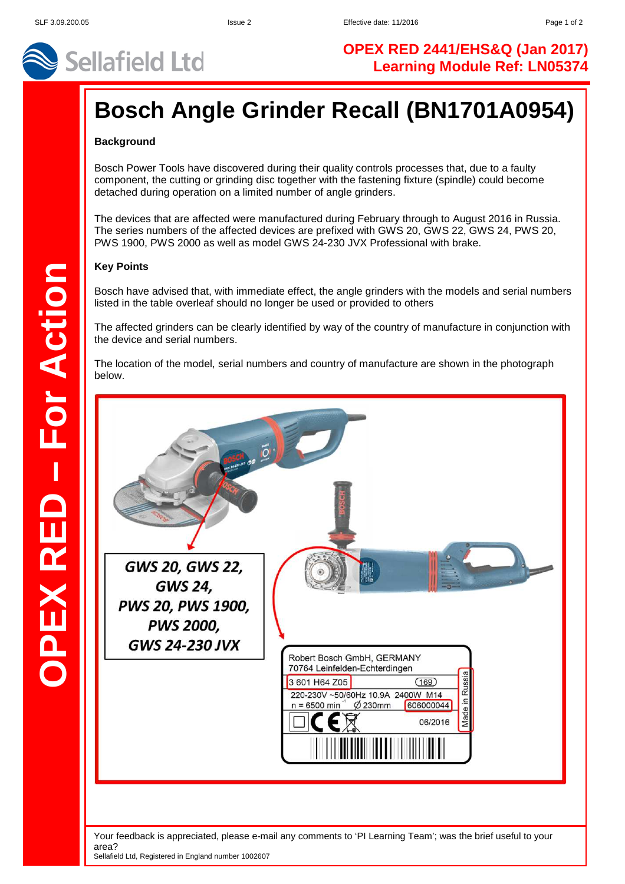

# **OPEX RED 2441/EHS&Q (Jan 2017) Learning Module Ref: LN05374**

# **Bosch Angle Grinder Recall (BN1701A0954)**

## **Background**

Bosch Power Tools have discovered during their quality controls processes that, due to a faulty component, the cutting or grinding disc together with the fastening fixture (spindle) could become detached during operation on a limited number of angle grinders.

The devices that are affected were manufactured during February through to August 2016 in Russia. The series numbers of the affected devices are prefixed with GWS 20, GWS 22, GWS 24, PWS 20, PWS 1900, PWS 2000 as well as model GWS 24-230 JVX Professional with brake.

#### **Key Points**

Bosch have advised that, with immediate effect, the angle grinders with the models and serial numbers listed in the table overleaf should no longer be used or provided to others

The affected grinders can be clearly identified by way of the country of manufacture in conjunction with the device and serial numbers.

The location of the model, serial numbers and country of manufacture are shown in the photograph below.